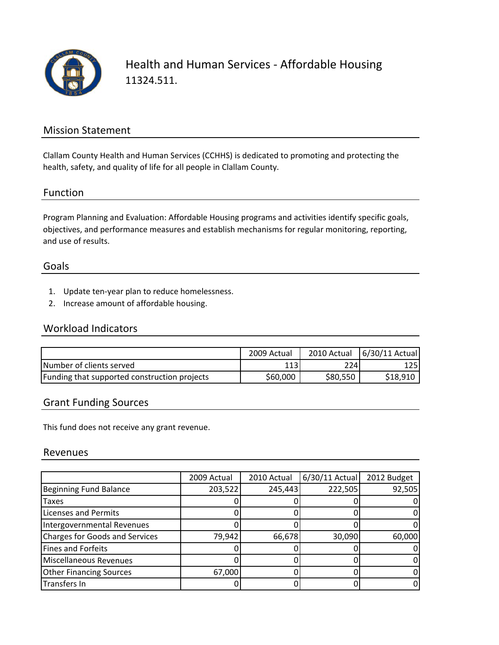

Health and Human Services ‐ Affordable Housing 11324.511.

### Mission Statement

Clallam County Health and Human Services (CCHHS) is dedicated to promoting and protecting the health, safety, and quality of life for all people in Clallam County.

#### Function

Program Planning and Evaluation: Affordable Housing programs and activities identify specific goals, objectives, and performance measures and establish mechanisms for regular monitoring, reporting, and use of results.

#### Goals

- 1. Update ten‐year plan to reduce homelessness.
- 2. Increase amount of affordable housing.

## Workload Indicators

|                                              | 2009 Actual | 2010 Actual | 6/30/11 Actual |
|----------------------------------------------|-------------|-------------|----------------|
| Number of clients served                     |             | 224         | 125            |
| Funding that supported construction projects | \$60,000    | \$80,550    | \$18,910       |

#### Grant Funding Sources

This fund does not receive any grant revenue.

#### Revenues

|                                | 2009 Actual | 2010 Actual | 6/30/11 Actual | 2012 Budget |
|--------------------------------|-------------|-------------|----------------|-------------|
| Beginning Fund Balance         | 203,522     | 245,443     | 222,505        | 92,505      |
| <b>Taxes</b>                   |             |             |                |             |
| Licenses and Permits           |             |             |                |             |
| Intergovernmental Revenues     |             |             |                |             |
| Charges for Goods and Services | 79,942      | 66,678      | 30,090         | 60,000      |
| Fines and Forfeits             |             |             |                |             |
| Miscellaneous Revenues         |             |             |                |             |
| <b>Other Financing Sources</b> | 67,000      |             |                |             |
| Transfers In                   |             |             |                |             |